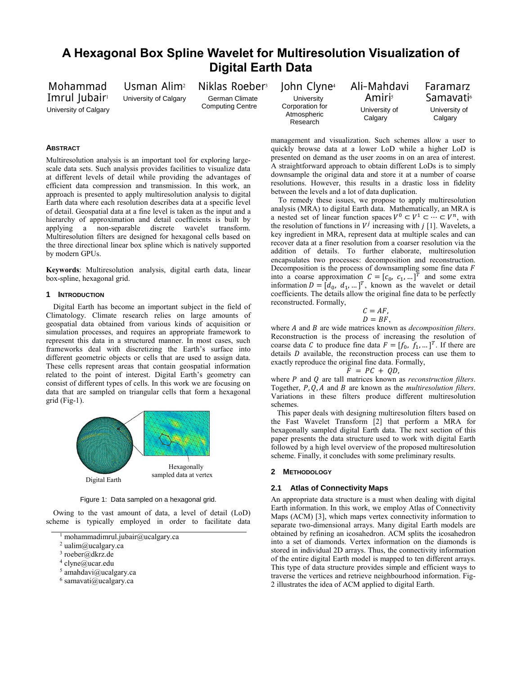# **A Hexagonal Box Spline Wavelet for Multiresolution Visualization of Digital Earth Data**

Mohammad Imrul Jubair<sup>1</sup> University of Calgary Usman Alim<sup>2</sup> University of Calgary Niklas Roeber<sup>3</sup> German Climate Computing Centre

John Clyne<sup>4</sup> **University** Corporation for Atmospheric Research

Ali-Mahdavi Amiris University of **Calgary** 

Faramarz Samavati<sup>6</sup> University of **Calgary** 

# **ABSTRACT**

Multiresolution analysis is an important tool for exploring largescale data sets. Such analysis provides facilities to visualize data at different levels of detail while providing the advantages of efficient data compression and transmission. In this work, an approach is presented to apply multiresolution analysis to digital Earth data where each resolution describes data at a specific level of detail. Geospatial data at a fine level is taken as the input and a hierarchy of approximation and detail coefficients is built by applying a non-separable discrete wavelet transform. Multiresolution filters are designed for hexagonal cells based on the three directional linear box spline which is natively supported by modern GPUs.

**Keywords**: Multiresolution analysis, digital earth data, linear box-spline, hexagonal grid.

#### **1 INTRODUCTION**

Digital Earth has become an important subject in the field of Climatology. Climate research relies on large amounts of geospatial data obtained from various kinds of acquisition or simulation processes, and requires an appropriate framework to represent this data in a structured manner. In most cases, such frameworks deal with discretizing the Earth's surface into different geometric objects or cells that are used to assign data. These cells represent areas that contain geospatial information related to the point of interest. Digital Earth's geometry can consist of different types of cells. In this work we are focusing on data that are sampled on triangular cells that form a hexagonal grid (Fig-1).



Figure 1: Data sampled on a hexagonal grid.

Owing to the vast amount of data, a level of detail (LoD) scheme is typically employed in order to facilitate data

- <sup>2</sup> ualim@ucalgary.ca
- <sup>3</sup> roeber@dkrz.de
- 4 clyne@ucar.edu
- $5$  amahdavi@ucalgary.ca
- $6$  samavati@ucalgary.ca

management and visualization. Such schemes allow a user to quickly browse data at a lower LoD while a higher LoD is presented on demand as the user zooms in on an area of interest. A straightforward approach to obtain different LoDs is to simply downsample the original data and store it at a number of coarse resolutions. However, this results in a drastic loss in fidelity between the levels and a lot of data duplication.

To remedy these issues, we propose to apply multiresolution analysis (MRA) to digital Earth data. Mathematically, an MRA is a nested set of linear function spaces  $V^0 \subset V^1 \subset \cdots \subset V^n$ , with the resolution of functions in  $V^j$  increasing with  $j$  [1]. Wavelets, a key ingredient in MRA, represent data at multiple scales and can recover data at a finer resolution from a coarser resolution via the addition of details. To further elaborate, multiresolution encapsulates two processes: decomposition and reconstruction. Decomposition is the process of downsampling some fine data  $F$ into a coarse approximation  $C = [c_0, c_1, ...]^T$  and some extra information  $D = [d_0, d_1, \dots]^T$ , known as the wavelet or detail coefficients. The details allow the original fine data to be perfectly reconstructed. Formally,

$$
C = AF,
$$
  

$$
D = BF,
$$

where *A* and *B* are wide matrices known as *decomposition filters*. Reconstruction is the process of increasing the resolution of coarse data C to produce fine data  $F = [f_0, f_1, \dots]^T$ . If there are details  $D$  available, the reconstruction process can use them to exactly reproduce the original fine data. Formally,

$$
\tilde{F} = PC + QD,
$$

where *P* and *Q* are tall matrices known as *reconstruction filters*. Together, P, Q, A and B are known as the *multiresolution filters*. Variations in these filters produce different multiresolution schemes.

This paper deals with designing multiresolution filters based on the Fast Wavelet Transform [2] that perform a MRA for hexagonally sampled digital Earth data. The next section of this paper presents the data structure used to work with digital Earth followed by a high level overview of the proposed multiresolution scheme. Finally, it concludes with some preliminary results.

### **2 METHODOLOGY**

#### **2.1 Atlas of Connectivity Maps**

An appropriate data structure is a must when dealing with digital Earth information. In this work, we employ Atlas of Connectivity Maps (ACM) [3], which maps vertex connectivity information to separate two-dimensional arrays. Many digital Earth models are obtained by refining an icosahedron. ACM splits the icosahedron into a set of diamonds. Vertex information on the diamonds is stored in individual 2D arrays. Thus, the connectivity information of the entire digital Earth model is mapped to ten different arrays. This type of data structure provides simple and efficient ways to traverse the vertices and retrieve neighbourhood information. Fig-2 illustrates the idea of ACM applied to digital Earth.

<sup>&</sup>lt;sup>1</sup> mohammadimrul.jubair@ucalgary.ca